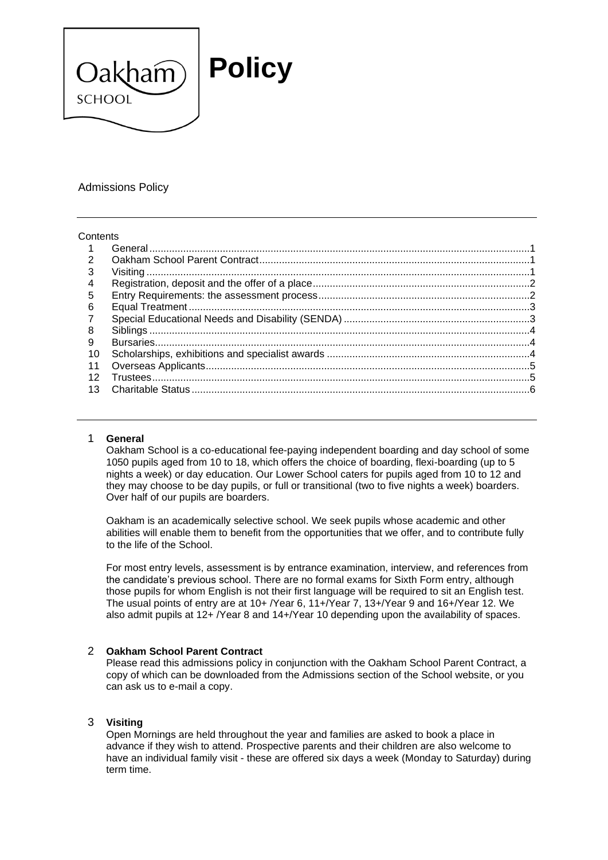

## Admissions Policy

#### **Contents**

| $\mathbf{1}$    |       |  |
|-----------------|-------|--|
| $\overline{2}$  |       |  |
| 3               |       |  |
| 4               |       |  |
| 5               |       |  |
| 6               |       |  |
| $\mathbf{7}$    |       |  |
| 8               |       |  |
| 9               |       |  |
| 10              |       |  |
| 11              |       |  |
| 12 <sup>1</sup> |       |  |
| 13              | ო — ი |  |
|                 |       |  |

## <span id="page-0-0"></span>1 **General**

Oakham School is a co-educational fee-paying independent boarding and day school of some 1050 pupils aged from 10 to 18, which offers the choice of boarding, flexi-boarding (up to 5 nights a week) or day education. Our Lower School caters for pupils aged from 10 to 12 and they may choose to be day pupils, or full or transitional (two to five nights a week) boarders. Over half of our pupils are boarders.

Oakham is an academically selective school. We seek pupils whose academic and other abilities will enable them to benefit from the opportunities that we offer, and to contribute fully to the life of the School.

<span id="page-0-1"></span>For most entry levels, assessment is by entrance examination, interview, and references from the candidate's previous school. There are no formal exams for Sixth Form entry, although those pupils for whom English is not their first language will be required to sit an English test. The usual points of entry are at 10+ /Year 6, 11+/Year 7, 13+/Year 9 and 16+/Year 12. We also admit pupils at 12+ /Year 8 and 14+/Year 10 depending upon the availability of spaces.

## <span id="page-0-2"></span>2 **Oakham School Parent Contract**

Please read this admissions policy in conjunction with the Oakham School Parent Contract, a copy of which can be downloaded from the Admissions section of the School website, or you can ask us to e-mail a copy.

## 3 **Visiting**

Open Mornings are held throughout the year and families are asked to book a place in advance if they wish to attend. Prospective parents and their children are also welcome to have an individual family visit - these are offered six days a week (Monday to Saturday) during term time.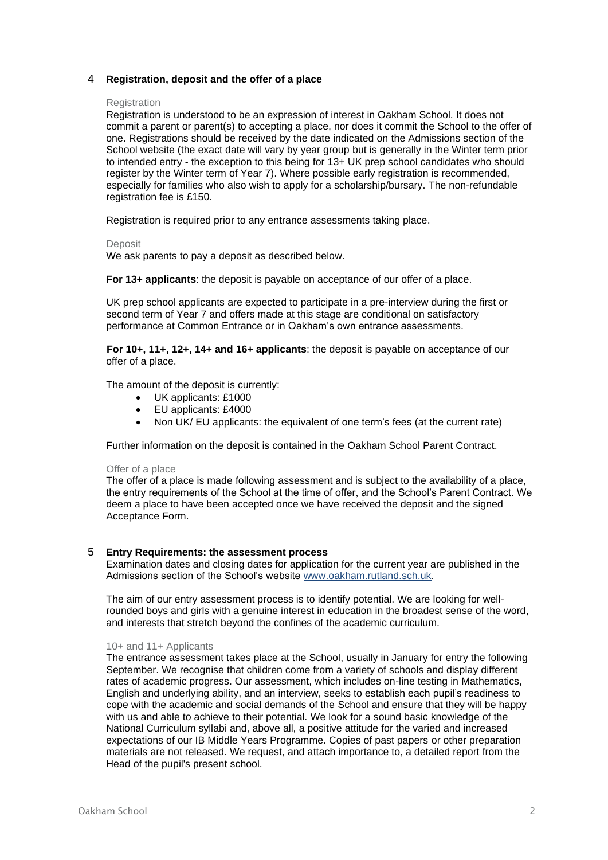## <span id="page-1-0"></span>4 **Registration, deposit and the offer of a place**

#### **Registration**

Registration is understood to be an expression of interest in Oakham School. It does not commit a parent or parent(s) to accepting a place, nor does it commit the School to the offer of one. Registrations should be received by the date indicated on the Admissions section of the School website (the exact date will vary by year group but is generally in the Winter term prior to intended entry - the exception to this being for 13+ UK prep school candidates who should register by the Winter term of Year 7). Where possible early registration is recommended, especially for families who also wish to apply for a scholarship/bursary. The non-refundable registration fee is £150.

Registration is required prior to any entrance assessments taking place.

#### Deposit

We ask parents to pay a deposit as described below.

**For 13+ applicants**: the deposit is payable on acceptance of our offer of a place.

UK prep school applicants are expected to participate in a pre-interview during the first or second term of Year 7 and offers made at this stage are conditional on satisfactory performance at Common Entrance or in Oakham's own entrance assessments.

**For 10+, 11+, 12+, 14+ and 16+ applicants**: the deposit is payable on acceptance of our offer of a place.

The amount of the deposit is currently:

- UK applicants: £1000
- EU applicants: £4000
- Non UK/ EU applicants: the equivalent of one term's fees (at the current rate)

Further information on the deposit is contained in the Oakham School Parent Contract.

#### Offer of a place

The offer of a place is made following assessment and is subject to the availability of a place, the entry requirements of the School at the time of offer, and the School's Parent Contract. We deem a place to have been accepted once we have received the deposit and the signed Acceptance Form.

## <span id="page-1-1"></span>5 **Entry Requirements: the assessment process**

Examination dates and closing dates for application for the current year are published in the Admissions section of the School's website [www.oakham.rutland.sch.uk.](http://www.oakham.rutland.sch.uk/)

The aim of our entry assessment process is to identify potential. We are looking for wellrounded boys and girls with a genuine interest in education in the broadest sense of the word, and interests that stretch beyond the confines of the academic curriculum.

## 10+ and 11+ Applicants

The entrance assessment takes place at the School, usually in January for entry the following September. We recognise that children come from a variety of schools and display different rates of academic progress. Our assessment, which includes on-line testing in Mathematics, English and underlying ability, and an interview, seeks to establish each pupil's readiness to cope with the academic and social demands of the School and ensure that they will be happy with us and able to achieve to their potential. We look for a sound basic knowledge of the National Curriculum syllabi and, above all, a positive attitude for the varied and increased expectations of our IB Middle Years Programme. Copies of past papers or other preparation materials are not released. We request, and attach importance to, a detailed report from the Head of the pupil's present school.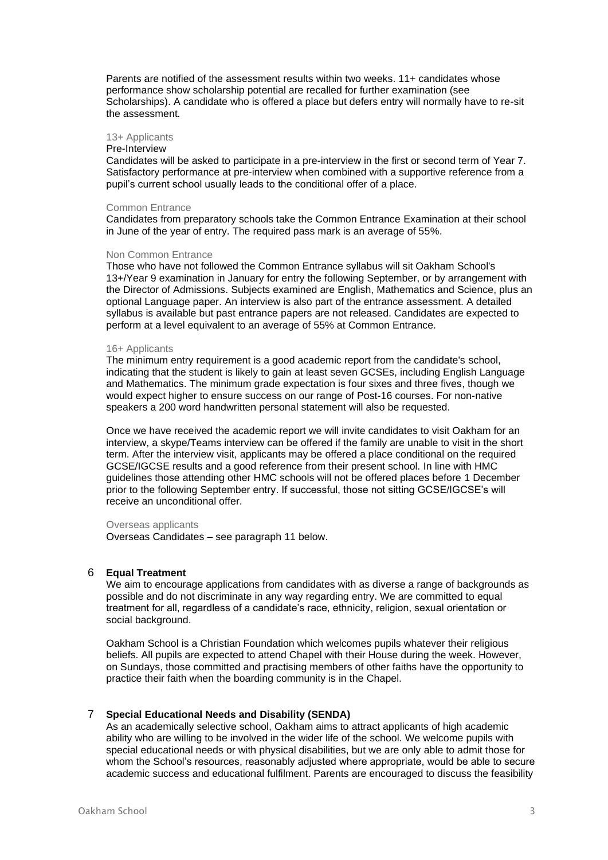Parents are notified of the assessment results within two weeks. 11+ candidates whose performance show scholarship potential are recalled for further examination (see Scholarships). A candidate who is offered a place but defers entry will normally have to re-sit the assessment*.*

#### 13+ Applicants

#### Pre-Interview

Candidates will be asked to participate in a pre-interview in the first or second term of Year 7. Satisfactory performance at pre-interview when combined with a supportive reference from a pupil's current school usually leads to the conditional offer of a place.

#### Common Entrance

Candidates from preparatory schools take the Common Entrance Examination at their school in June of the year of entry. The required pass mark is an average of 55%.

#### Non Common Entrance

Those who have not followed the Common Entrance syllabus will sit Oakham School's 13+/Year 9 examination in January for entry the following September, or by arrangement with the Director of Admissions. Subjects examined are English, Mathematics and Science, plus an optional Language paper. An interview is also part of the entrance assessment. A detailed syllabus is available but past entrance papers are not released. Candidates are expected to perform at a level equivalent to an average of 55% at Common Entrance.

#### 16+ Applicants

The minimum entry requirement is a good academic report from the candidate's school, indicating that the student is likely to gain at least seven GCSEs, including English Language and Mathematics. The minimum grade expectation is four sixes and three fives, though we would expect higher to ensure success on our range of Post-16 courses. For non-native speakers a 200 word handwritten personal statement will also be requested.

Once we have received the academic report we will invite candidates to visit Oakham for an interview, a skype/Teams interview can be offered if the family are unable to visit in the short term. After the interview visit, applicants may be offered a place conditional on the required GCSE/IGCSE results and a good reference from their present school. In line with HMC guidelines those attending other HMC schools will not be offered places before 1 December prior to the following September entry. If successful, those not sitting GCSE/IGCSE's will receive an unconditional offer.

#### Overseas applicants

Overseas Candidates – see paragraph [11 below.](#page-4-0)

#### <span id="page-2-0"></span>6 **Equal Treatment**

We aim to encourage applications from candidates with as diverse a range of backgrounds as possible and do not discriminate in any way regarding entry. We are committed to equal treatment for all, regardless of a candidate's race, ethnicity, religion, sexual orientation or social background.

Oakham School is a Christian Foundation which welcomes pupils whatever their religious beliefs. All pupils are expected to attend Chapel with their House during the week. However, on Sundays, those committed and practising members of other faiths have the opportunity to practice their faith when the boarding community is in the Chapel.

### <span id="page-2-1"></span>7 **Special Educational Needs and Disability (SENDA)**

As an academically selective school, Oakham aims to attract applicants of high academic ability who are willing to be involved in the wider life of the school. We welcome pupils with special educational needs or with physical disabilities, but we are only able to admit those for whom the School's resources, reasonably adjusted where appropriate, would be able to secure academic success and educational fulfilment. Parents are encouraged to discuss the feasibility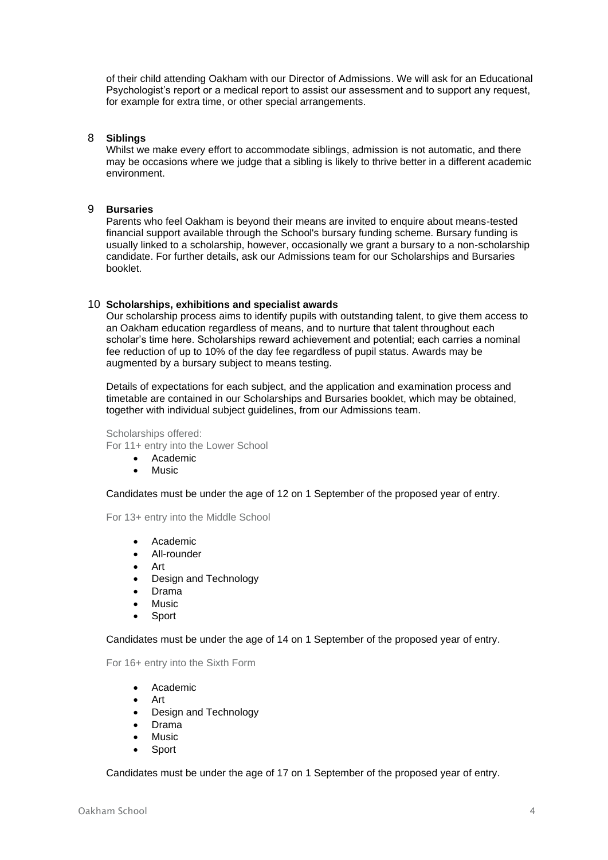of their child attending Oakham with our Director of Admissions. We will ask for an Educational Psychologist's report or a medical report to assist our assessment and to support any request, for example for extra time, or other special arrangements.

## <span id="page-3-0"></span>8 **Siblings**

Whilst we make every effort to accommodate siblings, admission is not automatic, and there may be occasions where we judge that a sibling is likely to thrive better in a different academic environment.

## <span id="page-3-1"></span>9 **Bursaries**

Parents who feel Oakham is beyond their means are invited to enquire about means-tested financial support available through the School's bursary funding scheme. Bursary funding is usually linked to a scholarship, however, occasionally we grant a bursary to a non-scholarship candidate. For further details, ask our Admissions team for our Scholarships and Bursaries booklet.

## <span id="page-3-2"></span>10 **Scholarships, exhibitions and specialist awards**

Our scholarship process aims to identify pupils with outstanding talent, to give them access to an Oakham education regardless of means, and to nurture that talent throughout each scholar's time here. Scholarships reward achievement and potential; each carries a nominal fee reduction of up to 10% of the day fee regardless of pupil status. Awards may be augmented by a bursary subject to means testing.

Details of expectations for each subject, and the application and examination process and timetable are contained in our Scholarships and Bursaries booklet, which may be obtained, together with individual subject guidelines, from our Admissions team.

Scholarships offered: For 11+ entry into the Lower School

- Academic
- **Music**

Candidates must be under the age of 12 on 1 September of the proposed year of entry.

For 13+ entry into the Middle School

- Academic
- All-rounder
- Art
- Design and Technology
- Drama
- **Music**
- **Sport**

Candidates must be under the age of 14 on 1 September of the proposed year of entry.

For 16+ entry into the Sixth Form

- Academic
- Art
- Design and Technology
- Drama
- **Music**
- **Sport**

Candidates must be under the age of 17 on 1 September of the proposed year of entry.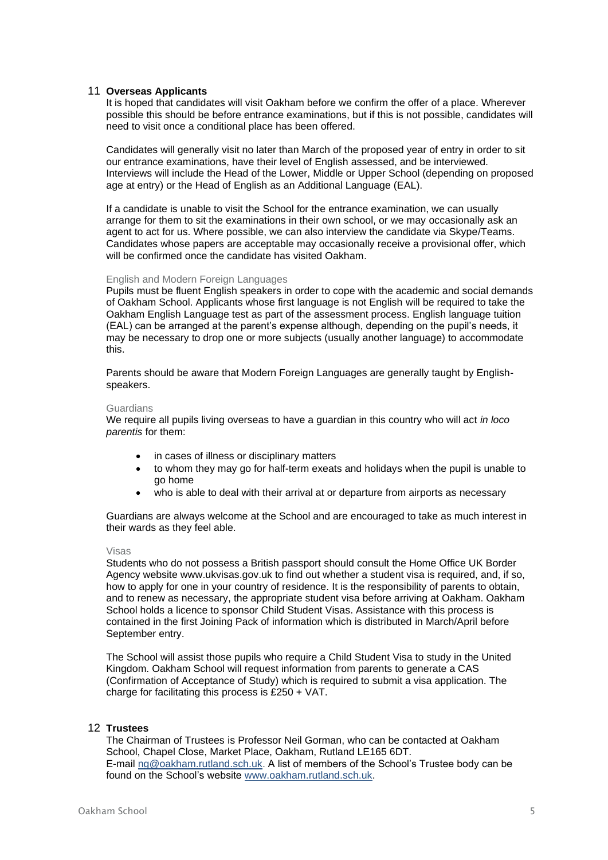## <span id="page-4-0"></span>11 **Overseas Applicants**

It is hoped that candidates will visit Oakham before we confirm the offer of a place. Wherever possible this should be before entrance examinations, but if this is not possible, candidates will need to visit once a conditional place has been offered.

Candidates will generally visit no later than March of the proposed year of entry in order to sit our entrance examinations, have their level of English assessed, and be interviewed. Interviews will include the Head of the Lower, Middle or Upper School (depending on proposed age at entry) or the Head of English as an Additional Language (EAL).

If a candidate is unable to visit the School for the entrance examination, we can usually arrange for them to sit the examinations in their own school, or we may occasionally ask an agent to act for us. Where possible, we can also interview the candidate via Skype/Teams. Candidates whose papers are acceptable may occasionally receive a provisional offer, which will be confirmed once the candidate has visited Oakham.

## English and Modern Foreign Languages

Pupils must be fluent English speakers in order to cope with the academic and social demands of Oakham School. Applicants whose first language is not English will be required to take the Oakham English Language test as part of the assessment process. English language tuition (EAL) can be arranged at the parent's expense although, depending on the pupil's needs, it may be necessary to drop one or more subjects (usually another language) to accommodate this.

Parents should be aware that Modern Foreign Languages are generally taught by Englishspeakers.

### **Guardians**

We require all pupils living overseas to have a guardian in this country who will act *in loco parentis* for them:

- in cases of illness or disciplinary matters
- to whom they may go for half-term exeats and holidays when the pupil is unable to go home
- who is able to deal with their arrival at or departure from airports as necessary

Guardians are always welcome at the School and are encouraged to take as much interest in their wards as they feel able.

#### Visas

Students who do not possess a British passport should consult the Home Office UK Border Agency website www.ukvisas.gov.uk to find out whether a student visa is required, and, if so, how to apply for one in your country of residence. It is the responsibility of parents to obtain, and to renew as necessary, the appropriate student visa before arriving at Oakham. Oakham School holds a licence to sponsor Child Student Visas. Assistance with this process is contained in the first Joining Pack of information which is distributed in March/April before September entry.

The School will assist those pupils who require a Child Student Visa to study in the United Kingdom. Oakham School will request information from parents to generate a CAS (Confirmation of Acceptance of Study) which is required to submit a visa application. The charge for facilitating this process is £250 + VAT.

## <span id="page-4-1"></span>12 **Trustees**

The Chairman of Trustees is Professor Neil Gorman, who can be contacted at Oakham School, Chapel Close, Market Place, Oakham, Rutland LE165 6DT. E-mail [ng@oakham.rutland.sch.uk.](mailto:ng@oakham.rutland.sch.uk) A list of members of the School's Trustee body can be found on the School's website [www.oakham.rutland.sch.uk.](http://www.oakham.rutland.sch.uk/)